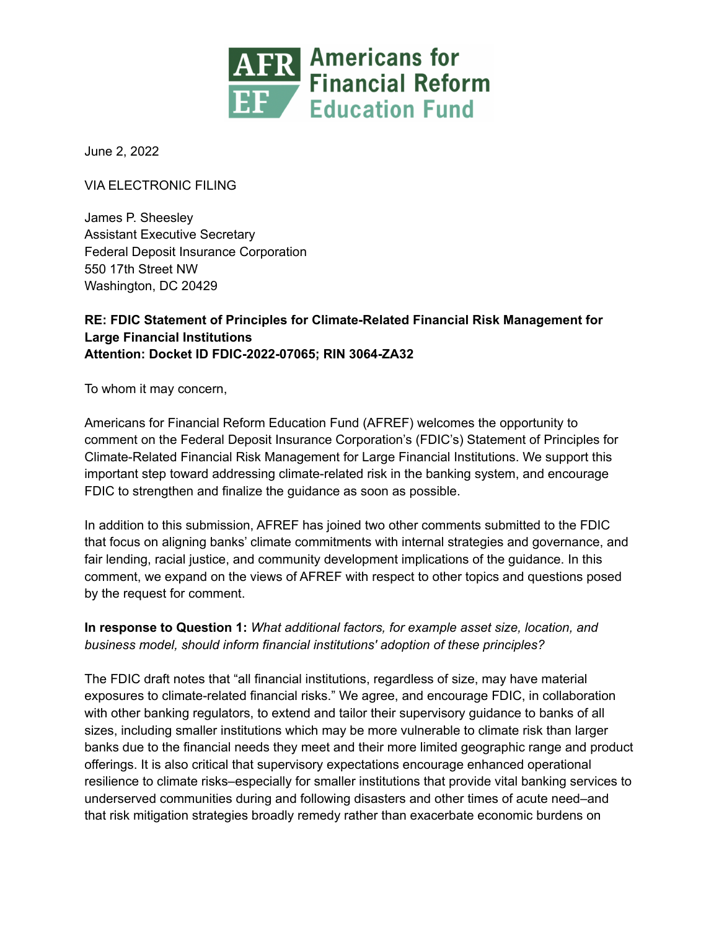

June 2, 2022

VIA ELECTRONIC FILING

James P. Sheesley Assistant Executive Secretary Federal Deposit Insurance Corporation 550 17th Street NW Washington, DC 20429

## **RE: FDIC Statement of Principles for Climate-Related Financial Risk Management for Large Financial Institutions Attention: Docket ID FDIC-2022-07065; RIN 3064-ZA32**

To whom it may concern,

Americans for Financial Reform Education Fund (AFREF) welcomes the opportunity to comment on the Federal Deposit Insurance Corporation's (FDIC's) Statement of Principles for Climate-Related Financial Risk Management for Large Financial Institutions. We support this important step toward addressing climate-related risk in the banking system, and encourage FDIC to strengthen and finalize the guidance as soon as possible.

In addition to this submission, AFREF has joined two other comments submitted to the FDIC that focus on aligning banks' climate commitments with internal strategies and governance, and fair lending, racial justice, and community development implications of the guidance. In this comment, we expand on the views of AFREF with respect to other topics and questions posed by the request for comment.

## **In response to Question 1:** *What additional factors, for example asset size, location, and business model, should inform financial institutions' adoption of these principles?*

The FDIC draft notes that "all financial institutions, regardless of size, may have material exposures to climate-related financial risks." We agree, and encourage FDIC, in collaboration with other banking regulators, to extend and tailor their supervisory guidance to banks of all sizes, including smaller institutions which may be more vulnerable to climate risk than larger banks due to the financial needs they meet and their more limited geographic range and product offerings. It is also critical that supervisory expectations encourage enhanced operational resilience to climate risks–especially for smaller institutions that provide vital banking services to underserved communities during and following disasters and other times of acute need–and that risk mitigation strategies broadly remedy rather than exacerbate economic burdens on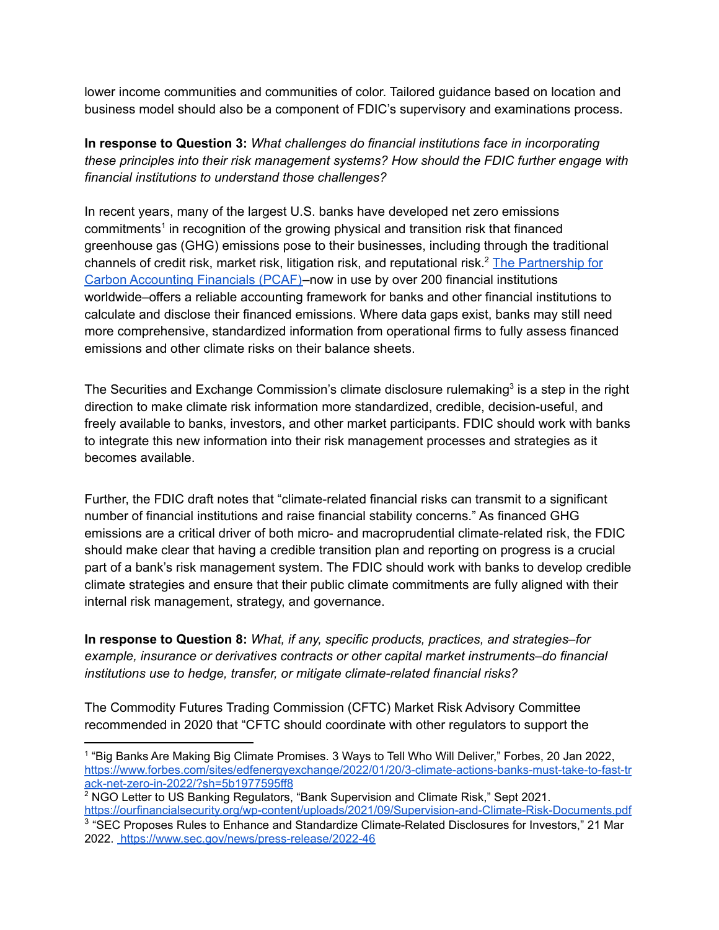lower income communities and communities of color. Tailored guidance based on location and business model should also be a component of FDIC's supervisory and examinations process.

**In response to Question 3:** *What challenges do financial institutions face in incorporating these principles into their risk management systems? How should the FDIC further engage with financial institutions to understand those challenges?*

In recent years, many of the largest U.S. banks have developed net zero emissions commitments 1 in recognition of the growing physical and transition risk that financed greenhouse gas (GHG) emissions pose to their businesses, including through the traditional channels of credit risk, market risk, litigation risk, and reputational risk.<sup>2</sup> The [Partnership](https://carbonaccountingfinancials.com) for Carbon [Accounting](https://carbonaccountingfinancials.com) Financials (PCAF)–now in use by over 200 financial institutions worldwide–offers a reliable accounting framework for banks and other financial institutions to calculate and disclose their financed emissions. Where data gaps exist, banks may still need more comprehensive, standardized information from operational firms to fully assess financed emissions and other climate risks on their balance sheets.

The Securities and Exchange Commission's climate disclosure rulemaking<sup>3</sup> is a step in the right direction to make climate risk information more standardized, credible, decision-useful, and freely available to banks, investors, and other market participants. FDIC should work with banks to integrate this new information into their risk management processes and strategies as it becomes available.

Further, the FDIC draft notes that "climate-related financial risks can transmit to a significant number of financial institutions and raise financial stability concerns." As financed GHG emissions are a critical driver of both micro- and macroprudential climate-related risk, the FDIC should make clear that having a credible transition plan and reporting on progress is a crucial part of a bank's risk management system. The FDIC should work with banks to develop credible climate strategies and ensure that their public climate commitments are fully aligned with their internal risk management, strategy, and governance.

**In response to Question 8:** *What, if any, specific products, practices, and strategies–for example, insurance or derivatives contracts or other capital market instruments–do financial institutions use to hedge, transfer, or mitigate climate-related financial risks?*

The Commodity Futures Trading Commission (CFTC) Market Risk Advisory Committee recommended in 2020 that "CFTC should coordinate with other regulators to support the

<sup>2</sup> NGO Letter to US Banking Regulators, "Bank Supervision and Climate Risk," Sept 2021. <https://ourfinancialsecurity.org/wp-content/uploads/2021/09/Supervision-and-Climate-Risk-Documents.pdf>

<sup>1</sup> "Big Banks Are Making Big Climate Promises. 3 Ways to Tell Who Will Deliver," Forbes, 20 Jan 2022, [https://www.forbes.com/sites/edfenergyexchange/2022/01/20/3-climate-actions-banks-must-take-to-fast-tr](https://www.forbes.com/sites/edfenergyexchange/2022/01/20/3-climate-actions-banks-must-take-to-fast-track-net-zero-in-2022/?sh=5b1977595ff8) [ack-net-zero-in-2022/?sh=5b1977595ff8](https://www.forbes.com/sites/edfenergyexchange/2022/01/20/3-climate-actions-banks-must-take-to-fast-track-net-zero-in-2022/?sh=5b1977595ff8)

<sup>&</sup>lt;sup>3</sup> "SEC Proposes Rules to Enhance and Standardize Climate-Related Disclosures for Investors," 21 Mar 2022. <https://www.sec.gov/news/press-release/2022-46>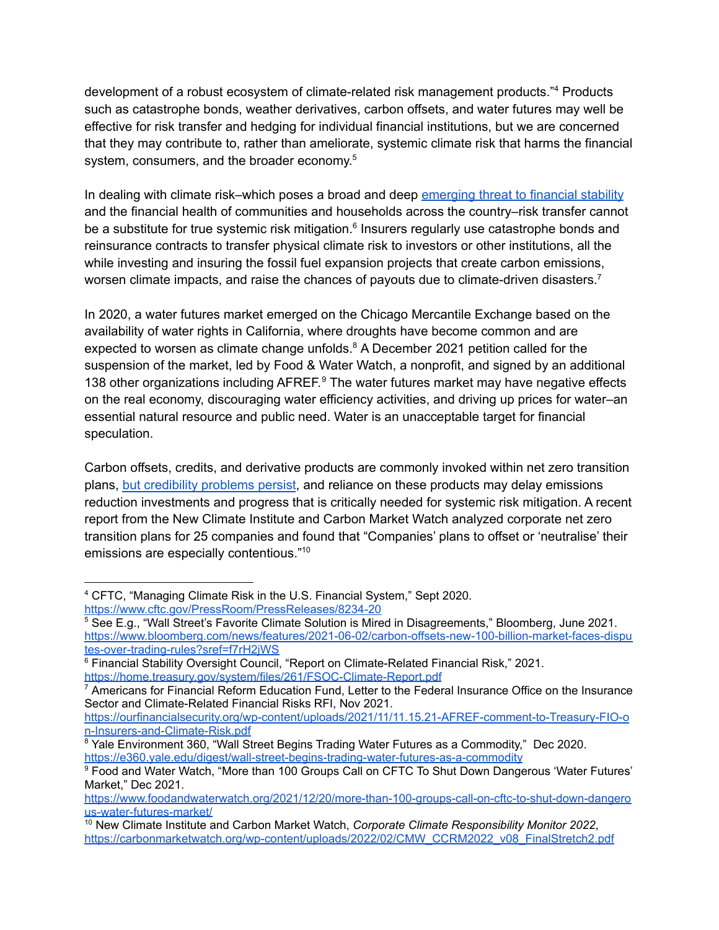development of a robust ecosystem of climate-related risk management products."<sup>4</sup> Products such as catastrophe bonds, weather derivatives, carbon offsets, and water futures may well be effective for risk transfer and hedging for individual financial institutions, but we are concerned that they may contribute to, rather than ameliorate, systemic climate risk that harms the financial system, consumers, and the broader economy.<sup>5</sup>

In dealing with climate risk–which poses a broad and deep [emerging](https://home.treasury.gov/system/files/261/FSOC-Climate-Report.pdf) threat to financial stability and the financial health of communities and households across the country–risk transfer cannot be a substitute for true systemic risk mitigation.<sup>6</sup> Insurers regularly use catastrophe bonds and reinsurance contracts to transfer physical climate risk to investors or other institutions, all the while investing and insuring the fossil fuel expansion projects that create carbon emissions, worsen climate impacts, and raise the chances of payouts due to climate-driven disasters.<sup>7</sup>

In 2020, a water futures market emerged on the Chicago Mercantile Exchange based on the availability of water rights in California, where droughts have become common and are expected to worsen as climate change unfolds.<sup>8</sup> A December 2021 petition called for the suspension of the market, led by Food & Water Watch, a nonprofit, and signed by an additional 138 other organizations including AFREF.<sup>9</sup> The water futures market may have negative effects on the real economy, discouraging water efficiency activities, and driving up prices for water–an essential natural resource and public need. Water is an unacceptable target for financial speculation.

Carbon offsets, credits, and derivative products are commonly invoked within net zero transition plans, but [credibility](https://www.bloomberg.com/news/articles/2022-02-08/how-to-avoid-buying-dodgy-carbon-offsets?sref=f7rH2jWS) problems persist, and reliance on these products may delay emissions reduction investments and progress that is critically needed for systemic risk mitigation. A recent report from the New Climate Institute and Carbon Market Watch analyzed corporate net zero transition plans for 25 companies and found that "Companies' plans to offset or 'neutralise' their emissions are especially contentious."<sup>10</sup>

<sup>4</sup> CFTC, "Managing Climate Risk in the U.S. Financial System," Sept 2020. <https://www.cftc.gov/PressRoom/PressReleases/8234-20>

<sup>&</sup>lt;sup>5</sup> See E.g., "Wall Street's Favorite Climate Solution is Mired in Disagreements," Bloomberg, June 2021. [https://www.bloomberg.com/news/features/2021-06-02/carbon-offsets-new-100-billion-market-faces-dispu](https://www.bloomberg.com/news/features/2021-06-02/carbon-offsets-new-100-billion-market-faces-disputes-over-trading-rules?sref=f7rH2jWS) [tes-over-trading-rules?sref=f7rH2jWS](https://www.bloomberg.com/news/features/2021-06-02/carbon-offsets-new-100-billion-market-faces-disputes-over-trading-rules?sref=f7rH2jWS)

<sup>&</sup>lt;sup>6</sup> Financial Stability Oversight Council, "Report on Climate-Related Financial Risk," 2021. <https://home.treasury.gov/system/files/261/FSOC-Climate-Report.pdf>

<sup>&</sup>lt;sup>7</sup> Americans for Financial Reform Education Fund, Letter to the Federal Insurance Office on the Insurance Sector and Climate-Related Financial Risks RFI, Nov 2021.

[https://ourfinancialsecurity.org/wp-content/uploads/2021/11/11.15.21-AFREF-comment-to-Treasury-FIO-o](https://ourfinancialsecurity.org/wp-content/uploads/2021/11/11.15.21-AFREF-comment-to-Treasury-FIO-on-Insurers-and-Climate-Risk.pdf) [n-Insurers-and-Climate-Risk.pdf](https://ourfinancialsecurity.org/wp-content/uploads/2021/11/11.15.21-AFREF-comment-to-Treasury-FIO-on-Insurers-and-Climate-Risk.pdf)

<sup>&</sup>lt;sup>8</sup> Yale Environment 360, "Wall Street Begins Trading Water Futures as a Commodity," Dec 2020. <https://e360.yale.edu/digest/wall-street-begins-trading-water-futures-as-a-commodity>

<sup>9</sup> Food and Water Watch, "More than 100 Groups Call on CFTC To Shut Down Dangerous 'Water Futures' Market," Dec 2021.

[https://www.foodandwaterwatch.org/2021/12/20/more-than-100-groups-call-on-cftc-to-shut-down-dangero](https://www.foodandwaterwatch.org/2021/12/20/more-than-100-groups-call-on-cftc-to-shut-down-dangerous-water-futures-market/) [us-water-futures-market/](https://www.foodandwaterwatch.org/2021/12/20/more-than-100-groups-call-on-cftc-to-shut-down-dangerous-water-futures-market/)

<sup>10</sup> New Climate Institute and Carbon Market Watch, *Corporate Climate Responsibility Monitor 2022*, [https://carbonmarketwatch.org/wp-content/uploads/2022/02/CMW\\_CCRM2022\\_v08\\_FinalStretch2.pdf](https://carbonmarketwatch.org/wp-content/uploads/2022/02/CMW_CCRM2022_v08_FinalStretch2.pdf)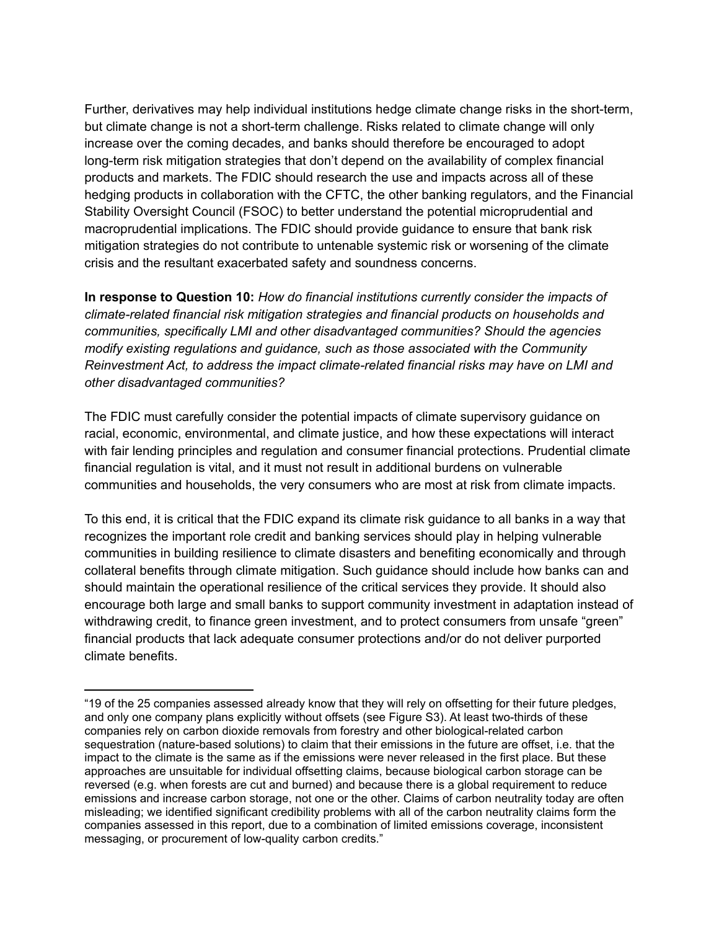Further, derivatives may help individual institutions hedge climate change risks in the short-term, but climate change is not a short-term challenge. Risks related to climate change will only increase over the coming decades, and banks should therefore be encouraged to adopt long-term risk mitigation strategies that don't depend on the availability of complex financial products and markets. The FDIC should research the use and impacts across all of these hedging products in collaboration with the CFTC, the other banking regulators, and the Financial Stability Oversight Council (FSOC) to better understand the potential microprudential and macroprudential implications. The FDIC should provide guidance to ensure that bank risk mitigation strategies do not contribute to untenable systemic risk or worsening of the climate crisis and the resultant exacerbated safety and soundness concerns.

**In response to Question 10:** *How do financial institutions currently consider the impacts of climate-related financial risk mitigation strategies and financial products on households and communities, specifically LMI and other disadvantaged communities? Should the agencies modify existing regulations and guidance, such as those associated with the Community Reinvestment Act, to address the impact climate-related financial risks may have on LMI and other disadvantaged communities?*

The FDIC must carefully consider the potential impacts of climate supervisory guidance on racial, economic, environmental, and climate justice, and how these expectations will interact with fair lending principles and regulation and consumer financial protections. Prudential climate financial regulation is vital, and it must not result in additional burdens on vulnerable communities and households, the very consumers who are most at risk from climate impacts.

To this end, it is critical that the FDIC expand its climate risk guidance to all banks in a way that recognizes the important role credit and banking services should play in helping vulnerable communities in building resilience to climate disasters and benefiting economically and through collateral benefits through climate mitigation. Such guidance should include how banks can and should maintain the operational resilience of the critical services they provide. It should also encourage both large and small banks to support community investment in adaptation instead of withdrawing credit, to finance green investment, and to protect consumers from unsafe "green" financial products that lack adequate consumer protections and/or do not deliver purported climate benefits.

<sup>&</sup>quot;19 of the 25 companies assessed already know that they will rely on offsetting for their future pledges, and only one company plans explicitly without offsets (see Figure S3). At least two-thirds of these companies rely on carbon dioxide removals from forestry and other biological-related carbon sequestration (nature-based solutions) to claim that their emissions in the future are offset, i.e. that the impact to the climate is the same as if the emissions were never released in the first place. But these approaches are unsuitable for individual offsetting claims, because biological carbon storage can be reversed (e.g. when forests are cut and burned) and because there is a global requirement to reduce emissions and increase carbon storage, not one or the other. Claims of carbon neutrality today are often misleading; we identified significant credibility problems with all of the carbon neutrality claims form the companies assessed in this report, due to a combination of limited emissions coverage, inconsistent messaging, or procurement of low-quality carbon credits."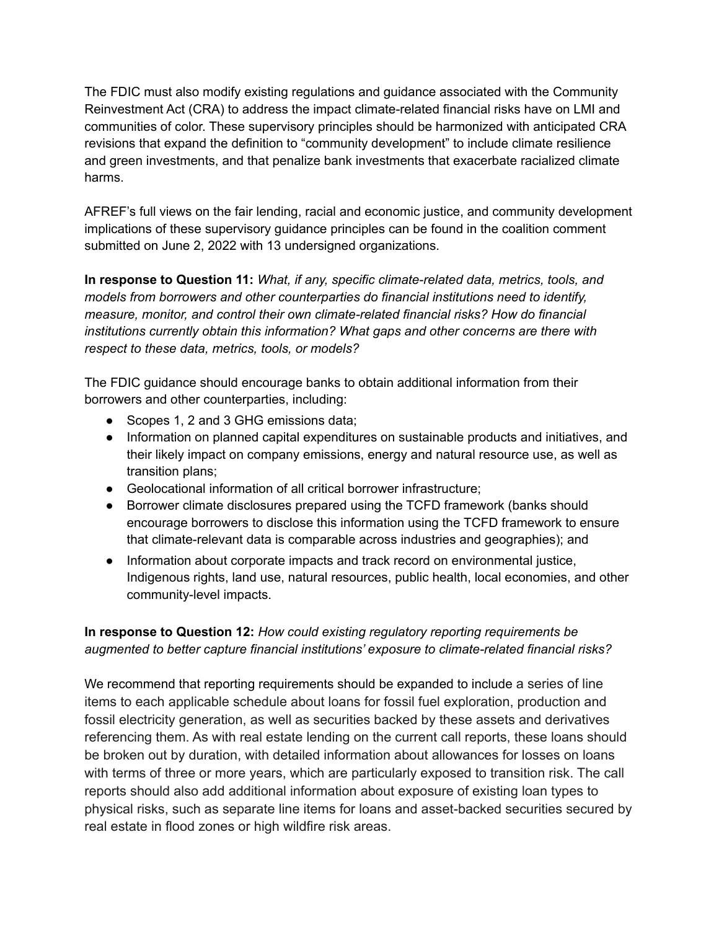The FDIC must also modify existing regulations and guidance associated with the Community Reinvestment Act (CRA) to address the impact climate-related financial risks have on LMI and communities of color. These supervisory principles should be harmonized with anticipated CRA revisions that expand the definition to "community development" to include climate resilience and green investments, and that penalize bank investments that exacerbate racialized climate harms.

AFREF's full views on the fair lending, racial and economic justice, and community development implications of these supervisory guidance principles can be found in the coalition comment submitted on June 2, 2022 with 13 undersigned organizations.

**In response to Question 11:** *What, if any, specific climate-related data, metrics, tools, and models from borrowers and other counterparties do financial institutions need to identify, measure, monitor, and control their own climate-related financial risks? How do financial institutions currently obtain this information? What gaps and other concerns are there with respect to these data, metrics, tools, or models?*

The FDIC guidance should encourage banks to obtain additional information from their borrowers and other counterparties, including:

- Scopes 1, 2 and 3 GHG emissions data;
- Information on planned capital expenditures on sustainable products and initiatives, and their likely impact on company emissions, energy and natural resource use, as well as transition plans;
- Geolocational information of all critical borrower infrastructure;
- Borrower climate disclosures prepared using the TCFD framework (banks should encourage borrowers to disclose this information using the TCFD framework to ensure that climate-relevant data is comparable across industries and geographies); and
- Information about corporate impacts and track record on environmental justice, Indigenous rights, land use, natural resources, public health, local economies, and other community-level impacts.

## **In response to Question 12:** *How could existing regulatory reporting requirements be augmented to better capture financial institutions' exposure to climate-related financial risks?*

We recommend that reporting requirements should be expanded to include a series of line items to each applicable schedule about loans for fossil fuel exploration, production and fossil electricity generation, as well as securities backed by these assets and derivatives referencing them. As with real estate lending on the current call reports, these loans should be broken out by duration, with detailed information about allowances for losses on loans with terms of three or more years, which are particularly exposed to transition risk. The call reports should also add additional information about exposure of existing loan types to physical risks, such as separate line items for loans and asset-backed securities secured by real estate in flood zones or high wildfire risk areas.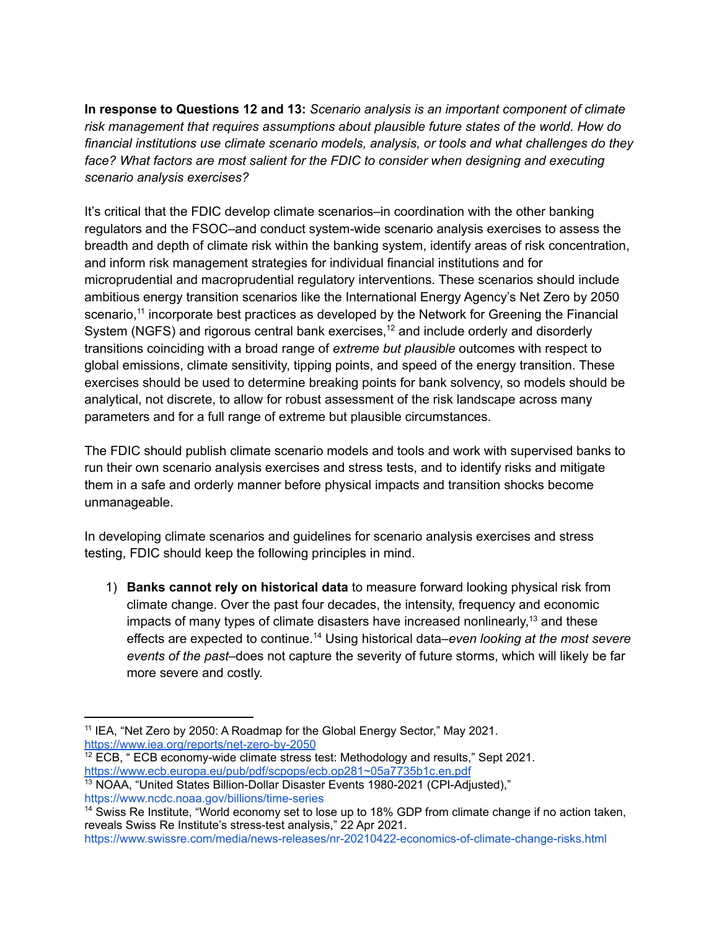**In response to Questions 12 and 13:** *Scenario analysis is an important component of climate risk management that requires assumptions about plausible future states of the world. How do financial institutions use climate scenario models, analysis, or tools and what challenges do they face? What factors are most salient for the FDIC to consider when designing and executing scenario analysis exercises?*

It's critical that the FDIC develop climate scenarios–in coordination with the other banking regulators and the FSOC–and conduct system-wide scenario analysis exercises to assess the breadth and depth of climate risk within the banking system, identify areas of risk concentration, and inform risk management strategies for individual financial institutions and for microprudential and macroprudential regulatory interventions. These scenarios should include ambitious energy transition scenarios like the International Energy Agency's Net Zero by 2050 scenario,<sup>11</sup> incorporate best practices as developed by the Network for Greening the Financial System (NGFS) and rigorous central bank exercises,<sup>12</sup> and include orderly and disorderly transitions coinciding with a broad range of *extreme but plausible* outcomes with respect to global emissions, climate sensitivity, tipping points, and speed of the energy transition. These exercises should be used to determine breaking points for bank solvency, so models should be analytical, not discrete, to allow for robust assessment of the risk landscape across many parameters and for a full range of extreme but plausible circumstances.

The FDIC should publish climate scenario models and tools and work with supervised banks to run their own scenario analysis exercises and stress tests, and to identify risks and mitigate them in a safe and orderly manner before physical impacts and transition shocks become unmanageable.

In developing climate scenarios and guidelines for scenario analysis exercises and stress testing, FDIC should keep the following principles in mind.

1) **Banks cannot rely on historical data** to measure forward looking physical risk from climate change. Over the past four decades, the intensity, frequency and economic impacts of many types of climate disasters have increased nonlinearly,<sup>13</sup> and these effects are expected to continue. <sup>14</sup> Using historical data–*even looking at the most severe events of the past*–does not capture the severity of future storms, which will likely be far more severe and costly.

<sup>&</sup>lt;sup>11</sup> IEA, "Net Zero by 2050: A Roadmap for the Global Energy Sector," May 2021. <https://www.iea.org/reports/net-zero-by-2050>

<sup>&</sup>lt;sup>12</sup> ECB, " ECB economy-wide climate stress test: Methodology and results," Sept 2021. <https://www.ecb.europa.eu/pub/pdf/scpops/ecb.op281~05a7735b1c.en.pdf>

<sup>13</sup> NOAA, "United States Billion-Dollar Disaster Events 1980-2021 (CPI-Adjusted)," <https://www.ncdc.noaa.gov/billions/time-series>

<sup>&</sup>lt;sup>14</sup> Swiss Re Institute, "World economy set to lose up to 18% GDP from climate change if no action taken, reveals Swiss Re Institute's stress-test analysis," 22 Apr 2021.

<https://www.swissre.com/media/news-releases/nr-20210422-economics-of-climate-change-risks.html>